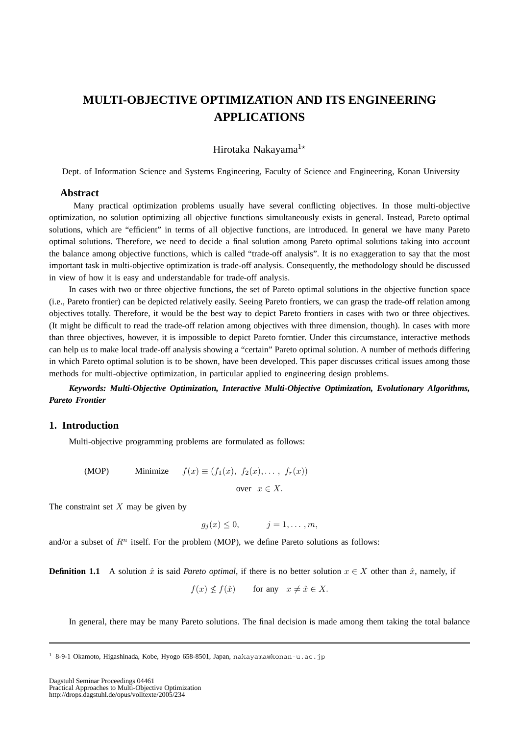# **MULTI-OBJECTIVE OPTIMIZATION AND ITS ENGINEERING APPLICATIONS**

# Hirotaka Nakayama<sup>1\*</sup>

Dept. of Information Science and Systems Engineering, Faculty of Science and Engineering, Konan University

### **Abstract**

Many practical optimization problems usually have several conflicting objectives. In those multi-objective optimization, no solution optimizing all objective functions simultaneously exists in general. Instead, Pareto optimal solutions, which are "efficient" in terms of all objective functions, are introduced. In general we have many Pareto optimal solutions. Therefore, we need to decide a final solution among Pareto optimal solutions taking into account the balance among objective functions, which is called "trade-off analysis". It is no exaggeration to say that the most important task in multi-objective optimization is trade-off analysis. Consequently, the methodology should be discussed in view of how it is easy and understandable for trade-off analysis.

In cases with two or three objective functions, the set of Pareto optimal solutions in the objective function space (i.e., Pareto frontier) can be depicted relatively easily. Seeing Pareto frontiers, we can grasp the trade-off relation among objectives totally. Therefore, it would be the best way to depict Pareto frontiers in cases with two or three objectives. (It might be difficult to read the trade-off relation among objectives with three dimension, though). In cases with more than three objectives, however, it is impossible to depict Pareto forntier. Under this circumstance, interactive methods can help us to make local trade-off analysis showing a "certain" Pareto optimal solution. A number of methods differing in which Pareto optimal solution is to be shown, have been developed. This paper discusses critical issues among those methods for multi-objective optimization, in particular applied to engineering design problems.

*Keywords: Multi-Objective Optimization, Interactive Multi-Objective Optimization, Evolutionary Algorithms, Pareto Frontier*

# **1. Introduction**

Multi-objective programming problems are formulated as follows:

(MOP) Minimize 
$$
f(x) \equiv (f_1(x), f_2(x), \dots, f_r(x))
$$

over 
$$
x \in X
$$
.

The constraint set  $X$  may be given by

$$
g_j(x) \leq 0, \qquad j = 1, \ldots, m,
$$

and/or a subset of  $R^n$  itself. For the problem (MOP), we define Pareto solutions as follows:

**Definition 1.1** A solution  $\hat{x}$  is said *Pareto optimal*, if there is no better solution  $x \in X$  other than  $\hat{x}$ , namely, if

 $f(x) \nleq f(\hat{x})$  for any  $x \neq \hat{x} \in X$ .

In general, there may be many Pareto solutions. The final decision is made among them taking the total balance

<sup>&</sup>lt;sup>1</sup> 8-9-1 Okamoto, Higashinada, Kobe, Hyogo 658-8501, Japan, nakayama@konan-u.ac.jp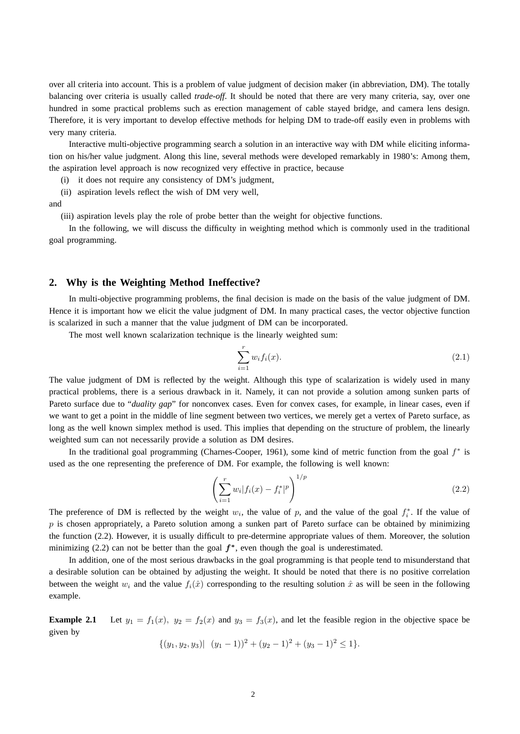over all criteria into account. This is a problem of value judgment of decision maker (in abbreviation, DM). The totally balancing over criteria is usually called *trade-off*. It should be noted that there are very many criteria, say, over one hundred in some practical problems such as erection management of cable stayed bridge, and camera lens design. Therefore, it is very important to develop effective methods for helping DM to trade-off easily even in problems with very many criteria.

Interactive multi-objective programming search a solution in an interactive way with DM while eliciting information on his/her value judgment. Along this line, several methods were developed remarkably in 1980's: Among them, the aspiration level approach is now recognized very effective in practice, because

(i) it does not require any consistency of DM's judgment,

(ii) aspiration levels reflect the wish of DM very well,

and

(iii) aspiration levels play the role of probe better than the weight for objective functions.

In the following, we will discuss the difficulty in weighting method which is commonly used in the traditional goal programming.

# **2. Why is the Weighting Method Ineffective?**

In multi-objective programming problems, the final decision is made on the basis of the value judgment of DM. Hence it is important how we elicit the value judgment of DM. In many practical cases, the vector objective function is scalarized in such a manner that the value judgment of DM can be incorporated.

The most well known scalarization technique is the linearly weighted sum:

$$
\sum_{i=1}^{r} w_i f_i(x). \tag{2.1}
$$

The value judgment of DM is reflected by the weight. Although this type of scalarization is widely used in many practical problems, there is a serious drawback in it. Namely, it can not provide a solution among sunken parts of Pareto surface due to "*duality gap*" for nonconvex cases. Even for convex cases, for example, in linear cases, even if we want to get a point in the middle of line segment between two vertices, we merely get a vertex of Pareto surface, as long as the well known simplex method is used. This implies that depending on the structure of problem, the linearly weighted sum can not necessarily provide a solution as DM desires.

In the traditional goal programming (Charnes-Cooper, 1961), some kind of metric function from the goal  $f^*$  is used as the one representing the preference of DM. For example, the following is well known:

$$
\left(\sum_{i=1}^{r} w_i |f_i(x) - f_i^*|^p\right)^{1/p} \tag{2.2}
$$

The preference of DM is reflected by the weight  $w_i$ , the value of p, and the value of the goal  $f_i^*$ . If the value of  $p$  is chosen appropriately, a Pareto solution among a sunken part of Pareto surface can be obtained by minimizing the function (2.2). However, it is usually difficult to pre-determine appropriate values of them. Moreover, the solution minimizing (2.2) can not be better than the goal *f∗*, even though the goal is underestimated.

In addition, one of the most serious drawbacks in the goal programming is that people tend to misunderstand that a desirable solution can be obtained by adjusting the weight. It should be noted that there is no positive correlation between the weight  $w_i$  and the value  $f_i(\hat{x})$  corresponding to the resulting solution  $\hat{x}$  as will be seen in the following example.

**Example 2.1** Let  $y_1 = f_1(x)$ ,  $y_2 = f_2(x)$  and  $y_3 = f_3(x)$ , and let the feasible region in the objective space be given by

$$
\{(y_1, y_2, y_3)| (y_1 - 1))^2 + (y_2 - 1)^2 + (y_3 - 1)^2 \le 1\}.
$$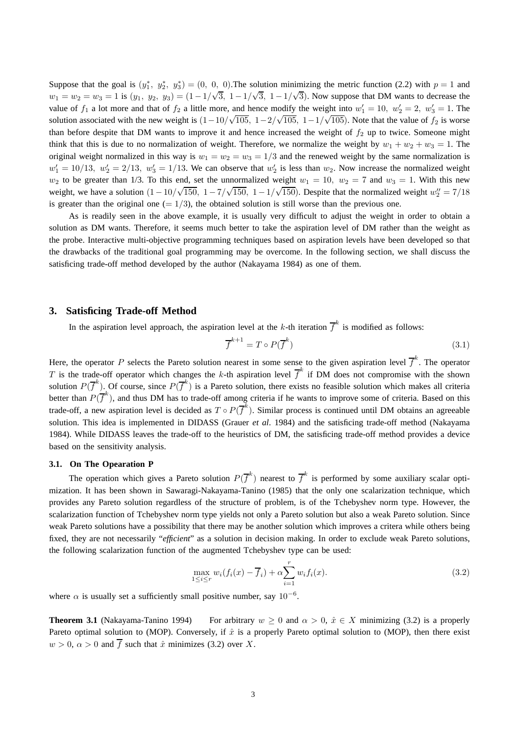Suppose that the goal is  $(y_1^*, y_2^*, y_3^*) = (0, 0, 0)$ . The solution minimizing the metric function (2.2) with  $p = 1$  and  $w_1 = w_2 = w_3 = 1$  is  $(y_1, y_2, y_3) = (1 - 1/\sqrt{3}, 1 - 1/\sqrt{3}, 1 - 1/\sqrt{3})$ . Now suppose that DM wants to decrease the value of  $f_1$  a lot more and that of  $f_2$  a little more, and hence modify the weight into  $w'_1 = 10$ ,  $w'_2 = 2$ ,  $w'_3 = 1$ . The solution associated with the new weight is  $(1-10/\sqrt{105}, 1-2/\sqrt{105}, 1-1/\sqrt{105})$ . Note that the value of  $f_2$  is worse than before despite that DM wants to improve it and hence increased the weight of  $f_2$  up to twice. Someone might think that this is due to no normalization of weight. Therefore, we normalize the weight by  $w_1 + w_2 + w_3 = 1$ . The original weight normalized in this way is  $w_1 = w_2 = w_3 = 1/3$  and the renewed weight by the same normalization is  $w'_1 = 10/13$ ,  $w'_2 = 2/13$ ,  $w'_3 = 1/13$ . We can observe that  $w'_2$  is less than  $w_2$ . Now increase the normalized weight  $w_2$  to be greater than 1/3. To this end, set the unnormalized weight  $w_1 = 10$ ,  $w_2 = 7$  and  $w_3 = 1$ . With this new weight, we have a solution  $(1 - 10/\sqrt{150}, 1 - 7/\sqrt{150}, 1 - 1/\sqrt{150})$ . Despite that the normalized weight  $w''_2 = 7/18$ is greater than the original one  $(= 1/3)$ , the obtained solution is still worse than the previous one.

As is readily seen in the above example, it is usually very difficult to adjust the weight in order to obtain a solution as DM wants. Therefore, it seems much better to take the aspiration level of DM rather than the weight as the probe. Interactive multi-objective programming techniques based on aspiration levels have been developed so that the drawbacks of the traditional goal programming may be overcome. In the following section, we shall discuss the satisficing trade-off method developed by the author (Nakayama 1984) as one of them.

# **3. Satisficing Trade-off Method**

In the aspiration level approach, the aspiration level at the k-th iteration  $\overline{f}^k$  is modified as follows:

$$
\overline{f}^{k+1} = T \circ P(\overline{f}^k) \tag{3.1}
$$

Here, the operator P selects the Pareto solution nearest in some sense to the given aspiration level  $\overline{f}^k$ . The operator T is the trade-off operator which changes the k-th aspiration level  $\bar{f}^k$  if DM does not compromise with the shown solution  $P(\overline{f}^k)$ . Of course, since  $P(\overline{f}^k)$  is a Pareto solution, there exists no feasible solution which makes all criteria better than  $P(\overline{f}^k)$ , and thus DM has to trade-off among criteria if he wants to improve some of criteria. Based on this trade-off, a new aspiration level is decided as  $T \circ P(\overline{f}^k)$ . Similar process is continued until DM obtains an agreeable solution. This idea is implemented in DIDASS (Grauer *et al*. 1984) and the satisficing trade-off method (Nakayama 1984). While DIDASS leaves the trade-off to the heuristics of DM, the satisficing trade-off method provides a device based on the sensitivity analysis.

# **3.1. On The Opearation P**

The operation which gives a Pareto solution  $P(\overline{f}^k)$  nearest to  $\overline{f}^k$  is performed by some auxiliary scalar optimization. It has been shown in Sawaragi-Nakayama-Tanino (1985) that the only one scalarization technique, which provides any Pareto solution regardless of the structure of problem, is of the Tchebyshev norm type. However, the scalarization function of Tchebyshev norm type yields not only a Pareto solution but also a weak Pareto solution. Since weak Pareto solutions have a possibility that there may be another solution which improves a critera while others being fixed, they are not necessarily "*efficient*" as a solution in decision making. In order to exclude weak Pareto solutions, the following scalarization function of the augmented Tchebyshev type can be used:

$$
\max_{1 \le i \le r} w_i (f_i(x) - \overline{f}_i) + \alpha \sum_{i=1}^r w_i f_i(x).
$$
\n(3.2)

where  $\alpha$  is usually set a sufficiently small positive number, say 10<sup>-6</sup>.

**Theorem 3.1** (Nakayama-Tanino 1994) For arbitrary  $w \ge 0$  and  $\alpha > 0$ ,  $\hat{x} \in X$  minimizing (3.2) is a properly Pareto optimal solution to (MOP). Conversely, if  $\hat{x}$  is a properly Pareto optimal solution to (MOP), then there exist  $w > 0$ ,  $\alpha > 0$  and  $\overline{f}$  such that  $\hat{x}$  minimizes (3.2) over X.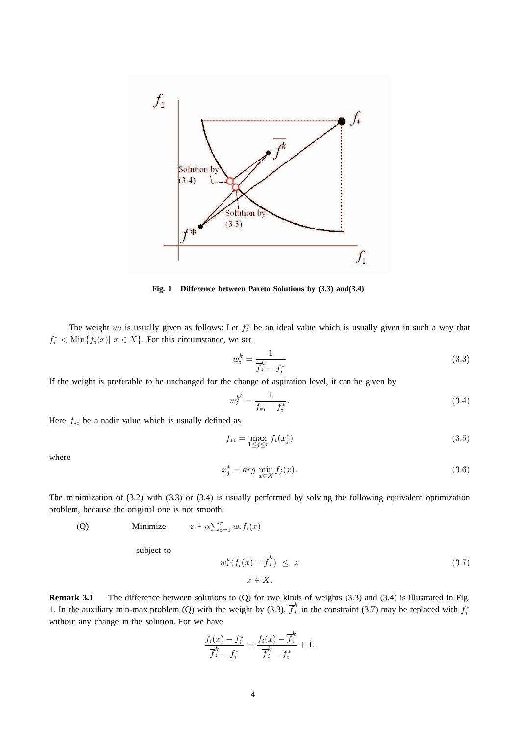

**Fig. 1 Difference between Pareto Solutions by (3.3) and(3.4)**

The weight  $w_i$  is usually given as follows: Let  $f_i^*$  be an ideal value which is usually given in such a way that  $f_i^*$  < Min $\{f_i(x) \mid x \in X\}$ . For this circumstance, we set

$$
w_i^k = \frac{1}{\overline{f}_i^k - f_i^*} \tag{3.3}
$$

If the weight is preferable to be unchanged for the change of aspiration level, it can be given by

$$
w_i^{k'} = \frac{1}{f_{*i} - f_i^*}.\tag{3.4}
$$

Here f∗*<sup>i</sup>* be a nadir value which is usually defined as

$$
f_{*i} = \max_{1 \le j \le r} f_i(x_j^*)
$$
\n(3.5)

where

$$
x_j^* = \arg\min_{x \in X} f_j(x). \tag{3.6}
$$

The minimization of (3.2) with (3.3) or (3.4) is usually performed by solving the following equivalent optimization problem, because the original one is not smooth:

(Q) Minimize 
$$
z + \alpha \sum_{i=1}^{r} w_i f_i(x)
$$

subject to

$$
w_i^k(f_i(x) - \overline{f}_i^k) \le z
$$
  
\n
$$
x \in X.
$$
\n(3.7)

**Remark 3.1** The difference between solutions to (Q) for two kinds of weights (3.3) and (3.4) is illustrated in Fig. 1. In the auxiliary min-max problem (Q) with the weight by (3.3),  $\overline{f}_i^k$  in the constraint (3.7) may be replaced with  $f_i^*$ without any change in the solution. For we have

$$
\frac{f_i(x) - f_i^*}{\overline{f}_i^k - f_i^*} = \frac{f_i(x) - \overline{f}_i^k}{\overline{f}_i^k - f_i^*} + 1.
$$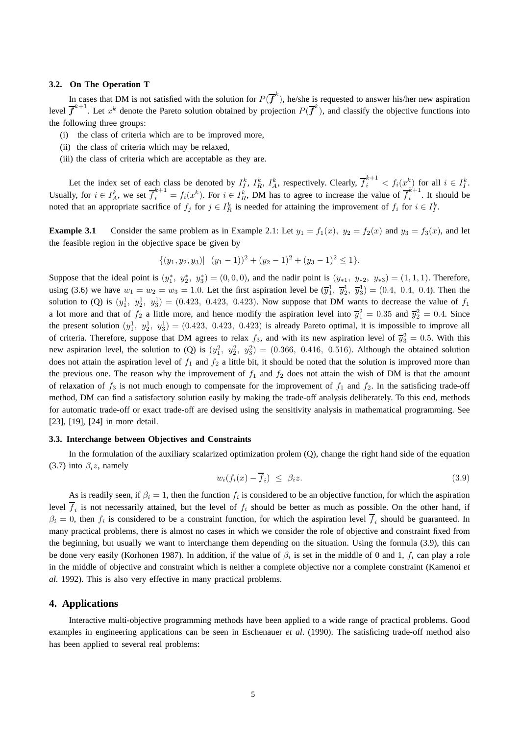## **3.2. On The Operation T**

In cases that DM is not satisfied with the solution for  $P(\overline{f}^k)$ , he/she is requested to answer his/her new aspiration level  $\overline{f}^{k+1}$ . Let  $x^k$  denote the Pareto solution obtained by projection  $P(\overline{f}^k)$ , and classify the objective functions into the following three groups:

- (i) the class of criteria which are to be improved more,
- (ii) the class of criteria which may be relaxed,
- (iii) the class of criteria which are acceptable as they are.

Let the index set of each class be denoted by  $I_I^k$ ,  $I_R^k$ ,  $I_A^k$ , respectively. Clearly,  $\overline{f}_i^{k+1} < f_i(x_i^k)$  for all  $i \in I_I^k$ . Usually, for  $i \in I_A^k$ , we set  $\overline{f}_i^{k+1} = f_i(x^k)$ . For  $i \in I_R^k$ , DM has to agree to increase the value of  $\overline{f}_i^{k+1}$ . It should be noted that an appropriate sacrifice of  $f_j$  for  $j \in I_R^k$  is needed for attaining the improvement of  $f_i$  for  $i \in I_I^k$ .

**Example 3.1** Consider the same problem as in Example 2.1: Let  $y_1 = f_1(x)$ ,  $y_2 = f_2(x)$  and  $y_3 = f_3(x)$ , and let the feasible region in the objective space be given by

$$
\{(y_1, y_2, y_3)| (y_1 - 1))^2 + (y_2 - 1)^2 + (y_3 - 1)^2 \le 1\}.
$$

Suppose that the ideal point is  $(y_1^*, y_2^*, y_3^*) = (0, 0, 0)$ , and the nadir point is  $(y_{*1}, y_{*2}, y_{*3}) = (1, 1, 1)$ . Therefore, using (3.6) we have  $w_1 = w_2 = w_3 = 1.0$ . Let the first aspiration level be  $(\overline{y}_1^1, \overline{y}_2^1, \overline{y}_3^1) = (0.4, 0.4, 0.4)$ . Then the solution to (Q) is  $(y_1^1, y_2^1, y_3^1) = (0.423, 0.423, 0.423)$ . Now suppose that DM wants to decrease the value of  $f_1$ a lot more and that of  $f_2$  a little more, and hence modify the aspiration level into  $\overline{y}_1^2 = 0.35$  and  $\overline{y}_2^2 = 0.4$ . Since the present solution  $(y_1^1, y_2^1, y_3^1) = (0.423, 0.423, 0.423)$  is already Pareto optimal, it is impossible to improve all of criteria. Therefore, suppose that DM agrees to relax  $f_3$ , and with its new aspiration level of  $\overline{y}_3^2 = 0.5$ . With this new aspiration level, the solution to (Q) is  $(y_1^2, y_2^2, y_3^2) = (0.366, 0.416, 0.516)$ . Although the obtained solution does not attain the aspiration level of  $f_1$  and  $f_2$  a little bit, it should be noted that the solution is improved more than the previous one. The reason why the improvement of  $f_1$  and  $f_2$  does not attain the wish of DM is that the amount of relaxation of  $f_3$  is not much enough to compensate for the improvement of  $f_1$  and  $f_2$ . In the satisficing trade-off method, DM can find a satisfactory solution easily by making the trade-off analysis deliberately. To this end, methods for automatic trade-off or exact trade-off are devised using the sensitivity analysis in mathematical programming. See [23], [19], [24] in more detail.

#### **3.3. Interchange between Objectives and Constraints**

In the formulation of the auxiliary scalarized optimization prolem (Q), change the right hand side of the equation (3.7) into  $\beta_i z$ , namely

$$
w_i(f_i(x) - \overline{f}_i) \le \beta_i z. \tag{3.9}
$$

As is readily seen, if  $\beta_i = 1$ , then the function  $f_i$  is considered to be an objective function, for which the aspiration level  $\overline{f}_i$  is not necessarily attained, but the level of  $f_i$  should be better as much as possible. On the other hand, if  $\beta_i = 0$ , then  $f_i$  is considered to be a constraint function, for which the aspiration level  $\overline{f}_i$  should be guaranteed. In many practical problems, there is almost no cases in which we consider the role of objective and constraint fixed from the beginning, but usually we want to interchange them depending on the situation. Using the formula (3.9), this can be done very easily (Korhonen 1987). In addition, if the value of  $\beta_i$  is set in the middle of 0 and 1,  $f_i$  can play a role in the middle of objective and constraint which is neither a complete objective nor a complete constraint (Kamenoi *et al*. 1992). This is also very effective in many practical problems.

#### **4. Applications**

Interactive multi-objective programming methods have been applied to a wide range of practical problems. Good examples in engineering applications can be seen in Eschenauer *et al*. (1990). The satisficing trade-off method also has been applied to several real problems: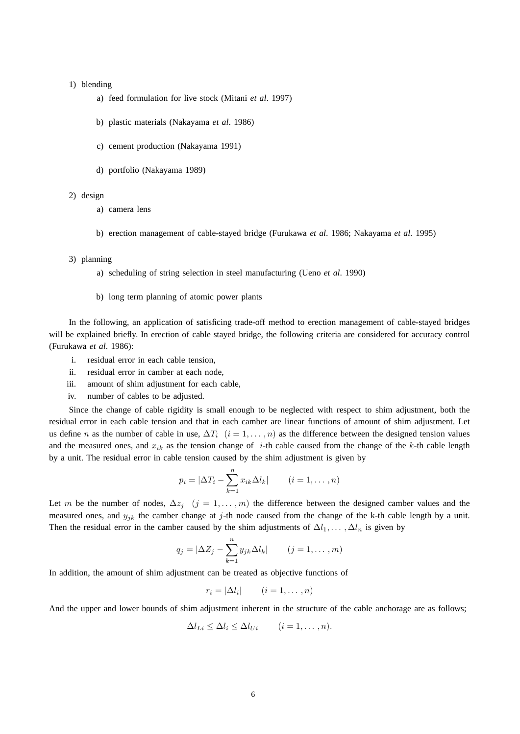#### 1) blending

- a) feed formulation for live stock (Mitani *et al*. 1997)
- b) plastic materials (Nakayama *et al*. 1986)
- c) cement production (Nakayama 1991)
- d) portfolio (Nakayama 1989)

#### 2) design

- a) camera lens
- b) erection management of cable-stayed bridge (Furukawa *et al*. 1986; Nakayama *et al.* 1995)

#### 3) planning

- a) scheduling of string selection in steel manufacturing (Ueno *et al*. 1990)
- b) long term planning of atomic power plants

In the following, an application of satisficing trade-off method to erection management of cable-stayed bridges will be explained briefly. In erection of cable stayed bridge, the following criteria are considered for accuracy control (Furukawa *et al*. 1986):

- i. residual error in each cable tension,
- ii. residual error in camber at each node,
- iii. amount of shim adjustment for each cable,
- iv. number of cables to be adjusted.

Since the change of cable rigidity is small enough to be neglected with respect to shim adjustment, both the residual error in each cable tension and that in each camber are linear functions of amount of shim adjustment. Let us define *n* as the number of cable in use,  $\Delta T_i$  ( $i = 1, \ldots, n$ ) as the difference between the designed tension values and the measured ones, and  $x_{ik}$  as the tension change of *i*-th cable caused from the change of the k-th cable length by a unit. The residual error in cable tension caused by the shim adjustment is given by

$$
p_i = |\Delta T_i - \sum_{k=1}^n x_{ik} \Delta l_k| \qquad (i = 1, \dots, n)
$$

Let m be the number of nodes,  $\Delta z_j$  ( $j = 1, \ldots, m$ ) the difference between the designed camber values and the measured ones, and y*jk* the camber change at j-th node caused from the change of the k-th cable length by a unit. Then the residual error in the camber caused by the shim adjustments of  $\Delta l_1, \ldots, \Delta l_n$  is given by

$$
q_j = |\Delta Z_j - \sum_{k=1}^n y_{jk} \Delta l_k| \qquad (j = 1, \dots, m)
$$

In addition, the amount of shim adjustment can be treated as objective functions of

$$
r_i = |\Delta l_i| \qquad (i = 1, \ldots, n)
$$

And the upper and lower bounds of shim adjustment inherent in the structure of the cable anchorage are as follows;

$$
\Delta l_{Li} \leq \Delta l_i \leq \Delta l_{Ui} \qquad (i = 1, \ldots, n).
$$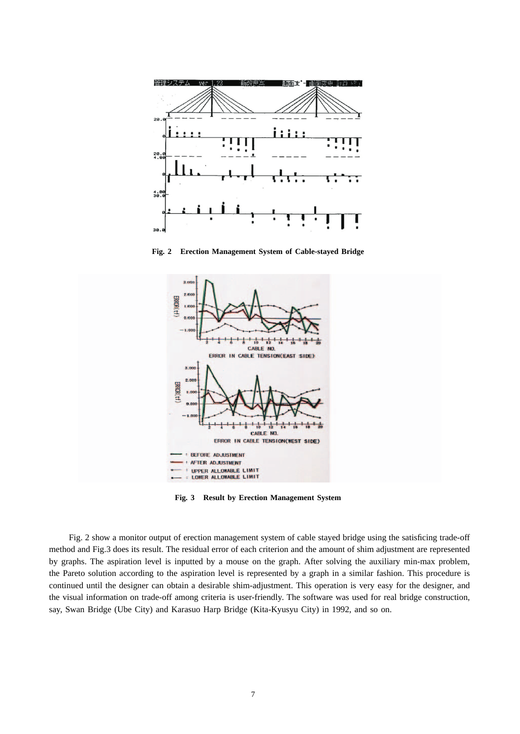

**Fig. 2 Erection Management System of Cable-stayed Bridge**



**Fig. 3 Result by Erection Management System**

Fig. 2 show a monitor output of erection management system of cable stayed bridge using the satisficing trade-off method and Fig.3 does its result. The residual error of each criterion and the amount of shim adjustment are represented by graphs. The aspiration level is inputted by a mouse on the graph. After solving the auxiliary min-max problem, the Pareto solution according to the aspiration level is represented by a graph in a similar fashion. This procedure is continued until the designer can obtain a desirable shim-adjustment. This operation is very easy for the designer, and the visual information on trade-off among criteria is user-friendly. The software was used for real bridge construction, say, Swan Bridge (Ube City) and Karasuo Harp Bridge (Kita-Kyusyu City) in 1992, and so on.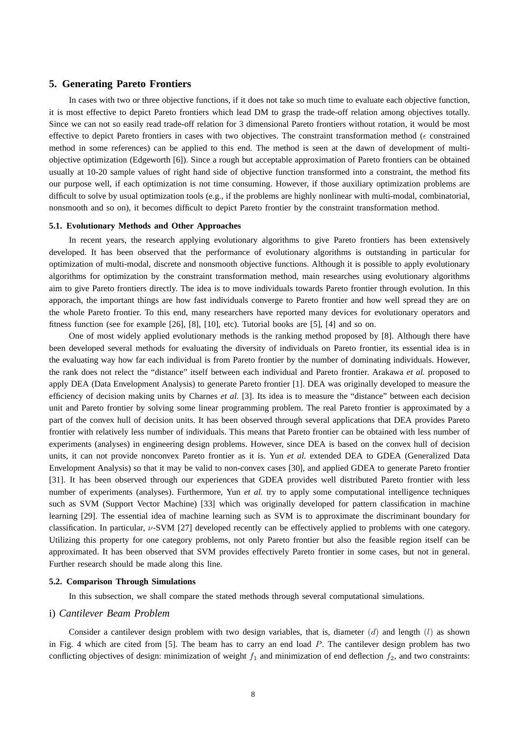# **5. Generating Pareto Frontiers**

In cases with two or three objective functions, if it does not take so much time to evaluate each objective function, it is most effective to depict Pareto frontiers which lead DM to grasp the trade-off relation among objectives totally. Since we can not so easily read trade-off relation for 3 dimensional Pareto frontiers without rotation, it would be most effective to depict Pareto frontiers in cases with two objectives. The constraint transformation method ( $\epsilon$  constrained method in some references) can be applied to this end. The method is seen at the dawn of development of multiobjective optimization (Edgeworth [6]). Since a rough but acceptable approximation of Pareto frontiers can be obtained usually at 10-20 sample values of right hand side of objective function transformed into a constraint, the method fits our purpose well, if each optimization is not time consuming. However, if those auxiliary optimization problems are difficult to solve by usual optimization tools (e.g., if the problems are highly nonlinear with multi-modal, combinatorial, nonsmooth and so on), it becomes difficult to depict Pareto frontier by the constraint transformation method.

#### **5.1. Evolutionary Methods and Other Approaches**

In recent years, the research applying evolutionary algorithms to give Pareto frontiers has been extensively developed. It has been observed that the performance of evolutionary algorithms is outstanding in particular for optimization of multi-modal, discrete and nonsmooth objective functions. Although it is possible to apply evolutionary algorithms for optimization by the constraint transformation method, main researches using evolutionary algorithms aim to give Pareto frontiers directly. The idea is to move individuals towards Pareto frontier through evolution. In this apporach, the important things are how fast individuals converge to Pareto frontier and how well spread they are on the whole Pareto frontier. To this end, many researchers have reported many devices for evolutionary operators and fitness function (see for example [26], [8], [10], etc). Tutorial books are [5], [4] and so on.

One of most widely applied evolutionary methods is the ranking method proposed by [8]. Although there have been developed several methods for evaluating the diversity of individuals on Pareto frontier, its essential idea is in the evaluating way how far each individual is from Pareto frontier by the number of dominating individuals. However, the rank does not relect the "distance" itself between each individual and Pareto frontier. Arakawa *et al.* proposed to apply DEA (Data Envelopment Analysis) to generate Pareto frontier [1]. DEA was originally developed to measure the efficiency of decision making units by Charnes *et al.* [3]. Its idea is to measure the "distance" between each decision unit and Pareto frontier by solving some linear programming problem. The real Pareto frontier is approximated by a part of the convex hull of decision units. It has been observed through several applications that DEA provides Pareto frontier with relatively less number of individuals. This means that Pareto frontier can be obtained with less number of experiments (analyses) in engineering design problems. However, since DEA is based on the convex hull of decision units, it can not provide nonconvex Pareto frontier as it is. Yun *et al.* extended DEA to GDEA (Generalized Data Envelopment Analysis) so that it may be valid to non-convex cases [30], and applied GDEA to generate Pareto frontier [31]. It has been observed through our experiences that GDEA provides well distributed Pareto frontier with less number of experiments (analyses). Furthermore, Yun *et al.* try to apply some computational intelligence techniques such as SVM (Support Vector Machine) [33] which was originally developed for pattern classification in machine learning [29]. The essential idea of machine learning such as SVM is to approximate the discriminant boundary for classification. In particular, ν-SVM [27] developed recently can be effectively applied to problems with one category. Utilizing this property for one category problems, not only Pareto frontier but also the feasible region itself can be approximated. It has been observed that SVM provides effectively Pareto frontier in some cases, but not in general. Further research should be made along this line.

#### **5.2. Comparison Through Simulations**

In this subsection, we shall compare the stated methods through several computational simulations.

## i) *Cantilever Beam Problem*

Consider a cantilever design problem with two design variables, that is, diameter  $(d)$  and length  $(l)$  as shown in Fig. 4 which are cited from [5]. The beam has to carry an end load P. The cantilever design problem has two conflicting objectives of design: minimization of weight  $f_1$  and minimization of end deflection  $f_2$ , and two constraints: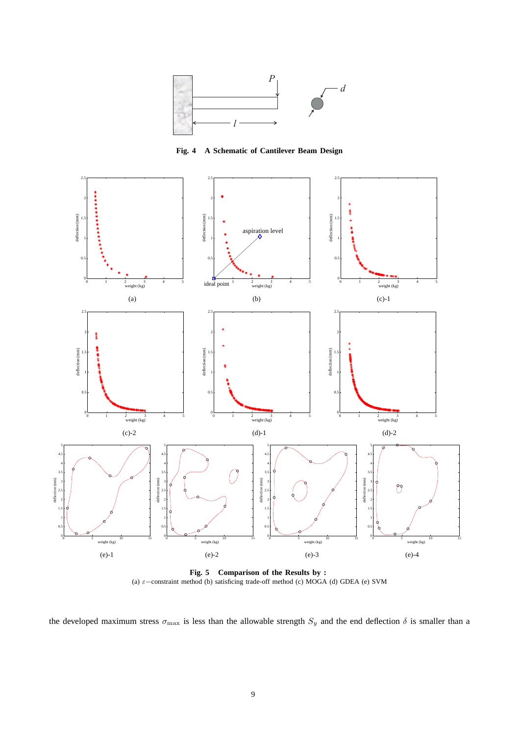

**Fig. 4 A Schematic of Cantilever Beam Design**



(a) ε*−*constraint method (b) satisficing trade-off method (c) MOGA (d) GDEA (e) SVM

the developed maximum stress  $\sigma_{\text{max}}$  is less than the allowable strength  $S_y$  and the end deflection  $\delta$  is smaller than a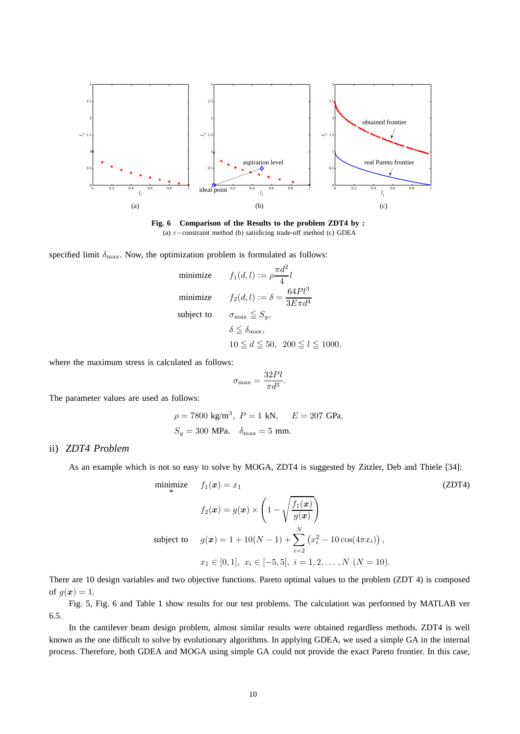

**Fig. 6 Comparison of the Results to the problem ZDT4 by :** (a) ε*−*constraint method (b) satisficing trade-off method (c) GDEA

specified limit  $\delta_{\text{max}}$ . Now, the optimization problem is formulated as follows:

minimize 
$$
f_1(d, l) := \rho \frac{\pi d^2}{4} l
$$
  
\nminimize  $f_2(d, l) := \delta = \frac{64Pl^3}{3E\pi d^4}$   
\nsubject to  $\sigma_{\text{max}} \leq S_y$ ,  
\n $\delta \leq \delta_{\text{max}}$ ,  
\n $10 \leq d \leq 50$ ,  $200 \leq l \leq 1000$ ,

where the maximum stress is calculated as follows:

$$
\sigma_{\max}=\frac{32Pl}{\pi d^3}.
$$

The parameter values are used as follows:

$$
\rho = 7800 \text{ kg/m}^3, \ P = 1 \text{ kN}, \quad E = 207 \text{ GPa},
$$
  

$$
S_y = 300 \text{ MPa}, \quad \delta_{\text{max}} = 5 \text{ mm}.
$$

# ii) *ZDT4 Problem*

As an example which is not so easy to solve by MOGA, ZDT4 is suggested by Zitzler, Deb and Thiele [34]:

minimize 
$$
f_1(\mathbf{x}) = x_1
$$
 (ZDT4)  
\n
$$
f_2(\mathbf{x}) = g(\mathbf{x}) \times \left(1 - \sqrt{\frac{f_1(\mathbf{x})}{g(\mathbf{x})}}\right)
$$
\nsubject to  $g(\mathbf{x}) = 1 + 10(N - 1) + \sum_{i=2}^{N} (x_i^2 - 10 \cos(4\pi x_i)),$   
\n $x_1 \in [0, 1], x_i \in [-5, 5], i = 1, 2, ..., N \ (N = 10).$ 

There are 10 design variables and two objective functions. Pareto optimal values to the problem (ZDT 4) is composed of  $g(x)=1$ .

Fig. 5, Fig. 6 and Table 1 show results for our test problems. The calculation was performed by MATLAB ver 6.5.

In the cantilever beam design problem, almost similar results were obtained regardless methods. ZDT4 is well known as the one difficult to solve by evolutionary algorithms. In applying GDEA, we used a simple GA in the internal process. Therefore, both GDEA and MOGA using simple GA could not provide the exact Pareto frontier. In this case,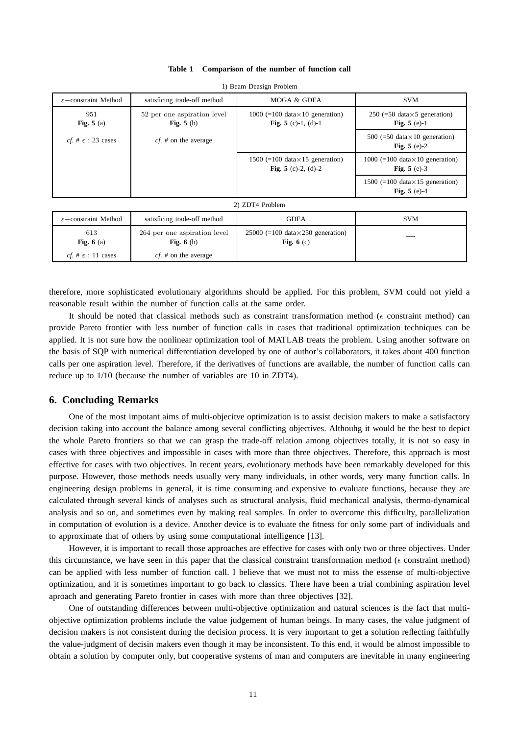| $\varepsilon$ – constraint Method     | satisficing trade-off method               | MOGA & GDEA                                                                           | <b>SVM</b>                                                     |  |
|---------------------------------------|--------------------------------------------|---------------------------------------------------------------------------------------|----------------------------------------------------------------|--|
| 951<br>Fig. $5(a)$                    | 52 per one aspiration level<br>Fig. $5(b)$ | 1000 (=100 data $\times$ 10 generation)<br><b>Fig.</b> 5 (c)-1, (d)-1                 | 250 (=50 data $\times$ 5 generation)<br><b>Fig.</b> 5 (e)-1    |  |
| <i>cf.</i> # $\varepsilon$ : 23 cases | <i>cf.</i> # on the average                |                                                                                       | 500 (=50 data $\times$ 10 generation)<br><b>Fig.</b> 5 (e)-2   |  |
|                                       |                                            | 1500 $(=100 \text{ data} \times 15 \text{ generation})$<br><b>Fig. 5</b> (c)-2, (d)-2 | 1000 (=100 data $\times$ 10 generation)<br><b>Fig.</b> 5 (e)-3 |  |
|                                       |                                            |                                                                                       | 1500 (=100 data $\times$ 15 generation)<br><b>Fig.</b> 5 (e)-4 |  |
| $(2)$ $7DT4$ Problem                  |                                            |                                                                                       |                                                                |  |

1) Beam Deasign Problem

| 27.4                                  |                                             |                                                            |            |  |  |
|---------------------------------------|---------------------------------------------|------------------------------------------------------------|------------|--|--|
| $\varepsilon$ – constraint Method     | satisficing trade-off method                | <b>GDEA</b>                                                | <b>SVM</b> |  |  |
| 613<br>Fig. $6(a)$                    | 264 per one aspiration level<br>Fig. $6(b)$ | $25000$ (=100 data $\times$ 250 generation)<br>Fig. $6(c)$ | __         |  |  |
| <i>cf.</i> # $\varepsilon$ : 11 cases | <i>cf.</i> # on the average                 |                                                            |            |  |  |

therefore, more sophisticated evolutionary algorithms should be applied. For this problem, SVM could not yield a reasonable result within the number of function calls at the same order.

It should be noted that classical methods such as constraint transformation method ( $\epsilon$  constraint method) can provide Pareto frontier with less number of function calls in cases that traditional optimization techniques can be applied. It is not sure how the nonlinear optimization tool of MATLAB treats the problem. Using another software on the basis of SQP with numerical differentiation developed by one of author's collaborators, it takes about 400 function calls per one aspiration level. Therefore, if the derivatives of functions are available, the number of function calls can reduce up to 1/10 (because the number of variables are 10 in ZDT4).

# **6. Concluding Remarks**

One of the most impotant aims of multi-objecitve optimization is to assist decision makers to make a satisfactory decision taking into account the balance among several conflicting objectives. Althouhg it would be the best to depict the whole Pareto frontiers so that we can grasp the trade-off relation among objectives totally, it is not so easy in cases with three objectives and impossible in cases with more than three objectives. Therefore, this approach is most effective for cases with two objectives. In recent years, evolutionary methods have been remarkably developed for this purpose. However, those methods needs usually very many individuals, in other words, very many function calls. In engineering design problems in general, it is time consuming and expensive to evaluate functions, because they are calculated through several kinds of analyses such as structural analysis, fluid mechanical analysis, thermo-dynamical analysis and so on, and sometimes even by making real samples. In order to overcome this difficulty, parallelization in computation of evolution is a device. Another device is to evaluate the fitness for only some part of individuals and to approximate that of others by using some computational intelligence [13].

However, it is important to recall those approaches are effective for cases with only two or three objectives. Under this circumstance, we have seen in this paper that the classical constraint transformation method ( $\epsilon$  constraint method) can be applied with less number of function call. I believe that we must not to miss the essense of multi-objective optimization, and it is sometimes important to go back to classics. There have been a trial combining aspiration level aproach and generating Pareto frontier in cases with more than three objectives [32].

One of outstanding differences between multi-objective optimization and natural sciences is the fact that multiobjective optimization problems include the value judgement of human beings. In many cases, the value judgment of decision makers is not consistent during the decision process. It is very important to get a solution reflecting faithfully the value-judgment of decisin makers even though it may be inconsistent. To this end, it would be almost impossible to obtain a solution by computer only, but cooperative systems of man and computers are inevitable in many engineering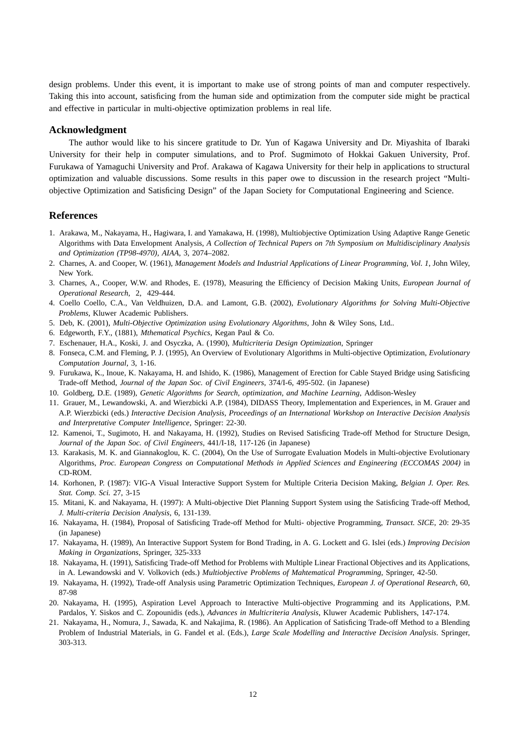design problems. Under this event, it is important to make use of strong points of man and computer respectively. Taking this into account, satisficing from the human side and optimization from the computer side might be practical and effective in particular in multi-objective optimization problems in real life.

# **Acknowledgment**

The author would like to his sincere gratitude to Dr. Yun of Kagawa University and Dr. Miyashita of Ibaraki University for their help in computer simulations, and to Prof. Sugmimoto of Hokkai Gakuen University, Prof. Furukawa of Yamaguchi University and Prof. Arakawa of Kagawa University for their help in applications to structural optimization and valuable discussions. Some results in this paper owe to discussion in the research project "Multiobjective Optimization and Satisficing Design" of the Japan Society for Computational Engineering and Science.

## **References**

- 1. Arakawa, M., Nakayama, H., Hagiwara, I. and Yamakawa, H. (1998), Multiobjective Optimization Using Adaptive Range Genetic Algorithms with Data Envelopment Analysis, *A Collection of Technical Papers on 7th Symposium on Multidisciplinary Analysis and Optimization (TP98-4970), AIAA*, 3, 2074–2082.
- 2. Charnes, A. and Cooper, W. (1961), *Management Models and Industrial Applications of Linear Programming, Vol. 1*, John Wiley, New York.
- 3. Charnes, A., Cooper, W.W. and Rhodes, E. (1978), Measuring the Efficiency of Decision Making Units, *European Journal of Operational Research*, 2, 429-444.
- 4. Coello Coello, C.A., Van Veldhuizen, D.A. and Lamont, G.B. (2002), *Evolutionary Algorithms for Solving Multi-Objective Problems*, Kluwer Academic Publishers.
- 5. Deb, K. (2001), *Multi-Objective Optimization using Evolutionary Algorithms*, John & Wiley Sons, Ltd..
- 6. Edgeworth, F.Y., (1881), *Mthematical Psychics*, Kegan Paul & Co.
- 7. Eschenauer, H.A., Koski, J. and Osyczka, A. (1990), *Multicriteria Design Optimization*, Springer
- 8. Fonseca, C.M. and Fleming, P. J. (1995), An Overview of Evolutionary Algorithms in Multi-objective Optimization, *Evolutionary Computation Journal*, 3, 1-16.
- 9. Furukawa, K., Inoue, K. Nakayama, H. and Ishido, K. (1986), Management of Erection for Cable Stayed Bridge using Satisficing Trade-off Method, *Journal of the Japan Soc. of Civil Engineers*, 374/I-6, 495-502. (in Japanese)
- 10. Goldberg, D.E. (1989), *Genetic Algorithms for Search, optimization, and Machine Learning*, Addison-Wesley
- 11. Grauer, M., Lewandowski, A. and Wierzbicki A.P. (1984), DIDASS Theory, Implementation and Experiences, in M. Grauer and A.P. Wierzbicki (eds.) *Interactive Decision Analysis, Proceedings of an International Workshop on Interactive Decision Analysis and Interpretative Computer Intelligence*, Springer: 22-30.
- 12. Kamenoi, T., Sugimoto, H. and Nakayama, H. (1992), Studies on Revised Satisficing Trade-off Method for Structure Design, *Journal of the Japan Soc. of Civil Engineers*, 441/I-18, 117-126 (in Japanese)
- 13. Karakasis, M. K. and Giannakoglou, K. C. (2004), On the Use of Surrogate Evaluation Models in Multi-objective Evolutionary Algorithms, *Proc. European Congress on Computational Methods in Applied Sciences and Engineering (ECCOMAS 2004)* in CD-ROM.
- 14. Korhonen, P. (1987): VIG-A Visual Interactive Support System for Multiple Criteria Decision Making, *Belgian J. Oper. Res. Stat. Comp. Sci.* 27, 3-15
- 15. Mitani, K. and Nakayama, H. (1997): A Multi-objective Diet Planning Support System using the Satisficing Trade-off Method, *J. Multi-criteria Decision Analysis*, 6, 131-139.
- 16. Nakayama, H. (1984), Proposal of Satisficing Trade-off Method for Multi- objective Programming, *Transact. SICE*, 20: 29-35 (in Japanese)
- 17. Nakayama, H. (1989), An Interactive Support System for Bond Trading, in A. G. Lockett and G. Islei (eds.) *Improving Decision Making in Organizations*, Springer, 325-333
- 18. Nakayama, H. (1991), Satisficing Trade-off Method for Problems with Multiple Linear Fractional Objectives and its Applications, in A. Lewandowski and V. Volkovich (eds.) *Multiobjective Problems of Mahtematical Programming*, Springer, 42-50.
- 19. Nakayama, H. (1992), Trade-off Analysis using Parametric Optimization Techniques, *European J. of Operational Research*, 60, 87-98
- 20. Nakayama, H. (1995), Aspiration Level Approach to Interactive Multi-objective Programming and its Applications, P.M. Pardalos, Y. Siskos and C. Zopounidis (eds.), *Advances in Multicriteria Analysis*, Kluwer Academic Publishers, 147-174.
- 21. Nakayama, H., Nomura, J., Sawada, K. and Nakajima, R. (1986). An Application of Satisficing Trade-off Method to a Blending Problem of Industrial Materials, in G. Fandel et al. (Eds.), *Large Scale Modelling and Interactive Decision Analysis*. Springer, 303-313.